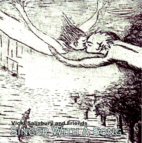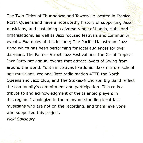The Twin Cities of Thuringowa and Townsville located in Tropical North Queensland have a noteworthy history of supporting Jazz musicians, and sustaining a diverse range of bands, clubs and organisations, as well as Jazz focused festivals and community events. Examples of this include; The Pacific Mainstream Jazz Band which has been performing for local audiences for over 32 years, The Palmer Street Jazz Festival and The Great Tropical Jazz Party are annual events that attract lovers of Swing from around the world . Youth initiatives like Junior Jazz nurture school age musicians, regional Jazz radio station **4TTT,** the North Queensland Jazz Club, and The Stokes-Nicholson Big Band reflect the community's commitment and participation. This cd is a tribute to and acknowledgment of the talented players in this region. I apologize to the many outstanding local Jazz musicians who are not on the recording, and thank everyone who supported this project.

Vicki Salisbury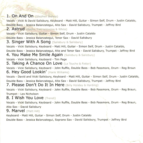# **1. On And On** (Stephen Bishop)

Vocals - Vicki & David Salisbury, Keyboard - Matt Hill, Guitar - Simon Self, Drum - Justin Cataldo, Double Bass - Jessica Balanzategui, Alto Sax - David Salisbury, Trumpet - Jeffrey Bird

### 2. Astrud (Basha Tretrzelewska & White)

Vocals - Vicki Salisbury, Guitar - Simon Self, Drum - Justin Cataldo

Double Bass - Jessica Balanzategui, Tenor Sax - David Salisbury

## **3. Singer With A Song** (Salisbury & Salisbury)

Vocals - Vicki Salisbury, Keyboard - Matt Hill, Guitar - Simon Self, Drum - Justin Cataldo,

Double Bass - Jessica Balanzategui, Alto and Tenor Sax - David Salisbury, Trumpet - Jeffrey Bird

## **4. You Make Me Smile Again (Salisbury & Salisbury)**

Vocals - Vicki Salisbury, Keyboard - Tim Page

### **5. Taking A Chance On Love** (La Touche & Fetter)

Vocals - Vicki Salisbury, Keyboard - John Ruffle, Double Bass - Bob Passmore, Drum - Reg Broun **6. Hey Good Lookin'** (Hank Williams)

Vocals - David and Vicki Salisbury, Keyboard - Matt Hill, Guitar - Simon Self, Drum - Justin Cataldo, Double Bass - Jessica Balanzategui, Alto Sax - David Salisbury, Trumpet - Jeffrey Bird

#### **7. Please Don't Do It In Here** (Billy Holiday & Harding)

Vocals - Vicki Salisbury, Keyboard - John Ruffle, Double Bass - Bob Passmore, Drum - Reg Braun, Trumpet - Les Nicholson

## **8 . I Wish You Love** (Trenel)

Vocals - Vicki Salisbury, Keyboard - John Ruffle, Double Bass - Bob Passmore, Drum - Reg Braun, Alto Sax - David Salisbury

#### **9. Marvel** (Matt Hill)

Keyboard - Matt Hill, Guitar - Simon Self, Drum - Justin Cataldo

Double Bass - Jessica Balanzategui, Soprano Sax - David Salisbury, Trumpet - Jeffrey Bird